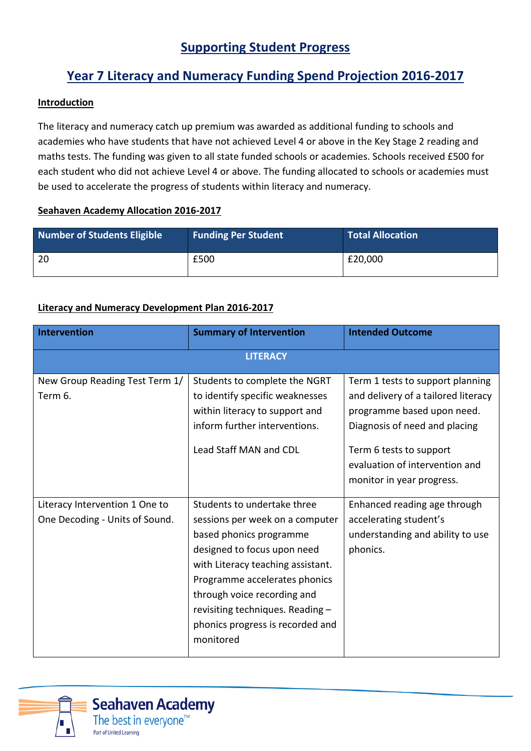# **Supporting Student Progress**

# **Year 7 Literacy and Numeracy Funding Spend Projection 2016-2017**

### **Introduction**

The literacy and numeracy catch up premium was awarded as additional funding to schools and academies who have students that have not achieved Level 4 or above in the Key Stage 2 reading and maths tests. The funding was given to all state funded schools or academies. Schools received £500 for each student who did not achieve Level 4 or above. The funding allocated to schools or academies must be used to accelerate the progress of students within literacy and numeracy.

#### **Seahaven Academy Allocation 2016-2017**

| <b>Number of Students Eligible</b> | <b>Funding Per Student</b> | <b>Total Allocation</b> |
|------------------------------------|----------------------------|-------------------------|
| 20                                 | £500                       | £20,000                 |

### **Literacy and Numeracy Development Plan 2016-2017**

| <b>Intervention</b>                                              | <b>Summary of Intervention</b>                                                                                                                                                                                                                                                                                     | <b>Intended Outcome</b>                                                                                                                                                                                                          |  |  |
|------------------------------------------------------------------|--------------------------------------------------------------------------------------------------------------------------------------------------------------------------------------------------------------------------------------------------------------------------------------------------------------------|----------------------------------------------------------------------------------------------------------------------------------------------------------------------------------------------------------------------------------|--|--|
| <b>LITERACY</b>                                                  |                                                                                                                                                                                                                                                                                                                    |                                                                                                                                                                                                                                  |  |  |
| New Group Reading Test Term 1/<br>Term 6.                        | Students to complete the NGRT<br>to identify specific weaknesses<br>within literacy to support and<br>inform further interventions.<br>Lead Staff MAN and CDL                                                                                                                                                      | Term 1 tests to support planning<br>and delivery of a tailored literacy<br>programme based upon need.<br>Diagnosis of need and placing<br>Term 6 tests to support<br>evaluation of intervention and<br>monitor in year progress. |  |  |
| Literacy Intervention 1 One to<br>One Decoding - Units of Sound. | Students to undertake three<br>sessions per week on a computer<br>based phonics programme<br>designed to focus upon need<br>with Literacy teaching assistant.<br>Programme accelerates phonics<br>through voice recording and<br>revisiting techniques. Reading -<br>phonics progress is recorded and<br>monitored | Enhanced reading age through<br>accelerating student's<br>understanding and ability to use<br>phonics.                                                                                                                           |  |  |